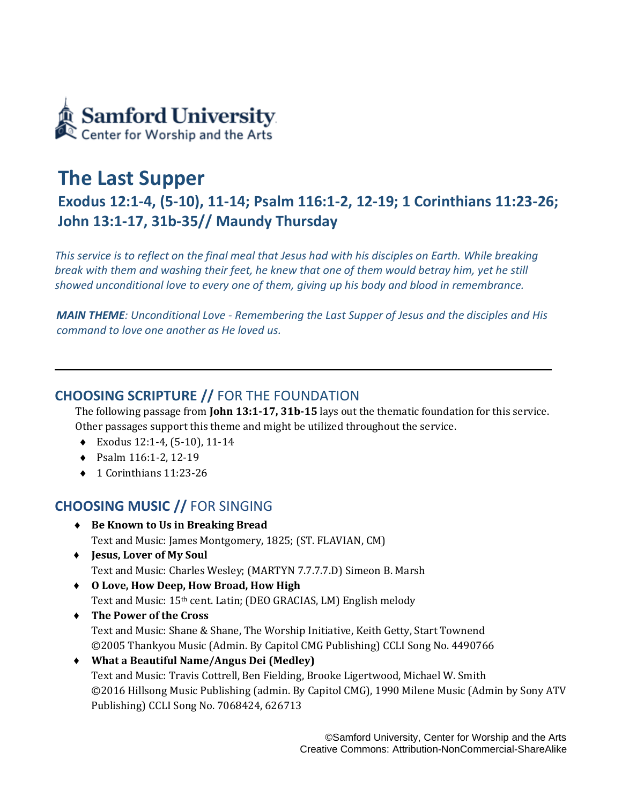

# **The Last Supper Exodus 12:1-4, (5-10), 11-14; Psalm 116:1-2, 12-19; 1 Corinthians 11:23-26; John 13:1-17, 31b-35// Maundy Thursday**

*This service is to reflect on the final meal that Jesus had with his disciples on Earth. While breaking break with them and washing their feet, he knew that one of them would betray him, yet he still showed unconditional love to every one of them, giving up his body and blood in remembrance.*

*MAIN THEME: Unconditional Love - Remembering the Last Supper of Jesus and the disciples and His command to love one another as He loved us.* 

## **CHOOSING SCRIPTURE //** FOR THE FOUNDATION

The following passage from **John 13:1-17, 31b-15** lays out the thematic foundation for this service. Other passages support this theme and might be utilized throughout the service.

- Exodus 12:1-4, (5-10), 11-14
- ◆ Psalm 116:1-2, 12-19
- ◆ 1 Corinthians 11:23-26

# **CHOOSING MUSIC //** FOR SINGING

- **Be Known to Us in Breaking Bread** Text and Music: James Montgomery, 1825; (ST. FLAVIAN, CM)
- ♦ **Jesus, Lover of My Soul**  Text and Music: Charles Wesley; (MARTYN 7.7.7.7.D) Simeon B. Marsh
- ♦ **O Love, How Deep, How Broad, How High**  Text and Music: 15th cent. Latin; (DEO GRACIAS, LM) English melody
- ♦ **The Power of the Cross** Text and Music: Shane & Shane, The Worship Initiative, Keith Getty, Start Townend ©2005 Thankyou Music (Admin. By Capitol CMG Publishing) CCLI Song No. 4490766
- ♦ **What a Beautiful Name/Angus Dei (Medley)**  Text and Music: Travis Cottrell, Ben Fielding, Brooke Ligertwood, Michael W. Smith ©2016 Hillsong Music Publishing (admin. By Capitol CMG), 1990 Milene Music (Admin by Sony ATV Publishing) CCLI Song No. 7068424, 626713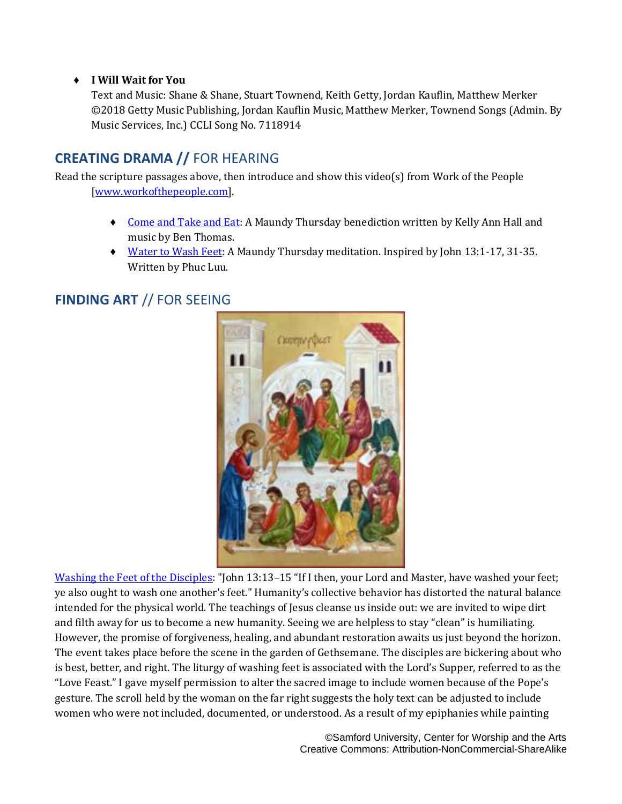#### ♦ **I Will Wait for You**

Text and Music: Shane & Shane, Stuart Townend, Keith Getty, Jordan Kauflin, Matthew Merker ©2018 Getty Music Publishing, Jordan Kauflin Music, Matthew Merker, Townend Songs (Admin. By Music Services, Inc.) CCLI Song No. 7118914

## **CREATING DRAMA //** FOR HEARING

Read the scripture passages above, then introduce and show this video(s) from Work of the People [\[www.workofthepeople.com\]](http://www.workofthepeople.com/).

- ♦ [Come and Take and Eat:](https://www.theworkofthepeople.com/come-and-take-and-eat) A Maundy Thursday benediction written by Kelly Ann Hall and music by Ben Thomas.
- ♦ [Water to Wash Feet:](https://www.theworkofthepeople.com/water-to-wash-feet) A Maundy Thursday meditation. Inspired by John 13:1-17, 31-35. Written by Phuc Luu.

## **FINDING ART** // FOR SEEING



[Washing the Feet of the Disciples:](https://diglib.library.vanderbilt.edu/act-imagelink.pl?RC=59678) "John 13:13-15 "If I then, your Lord and Master, have washed your feet; ye also ought to wash one another's feet." Humanity's collective behavior has distorted the natural balance intended for the physical world. The teachings of Jesus cleanse us inside out: we are invited to wipe dirt and filth away for us to become a new humanity. Seeing we are helpless to stay "clean" is humiliating. However, the promise of forgiveness, healing, and abundant restoration awaits us just beyond the horizon. The event takes place before the scene in the garden of Gethsemane. The disciples are bickering about who is best, better, and right. The liturgy of washing feet is associated with the Lord's Supper, referred to as the "Love Feast." I gave myself permission to alter the sacred image to include women because of the Pope's gesture. The scroll held by the woman on the far right suggests the holy text can be adjusted to include women who were not included, documented, or understood. As a result of my epiphanies while painting

> ©Samford University, Center for Worship and the Arts Creative Commons: Attribution-NonCommercial-ShareAlike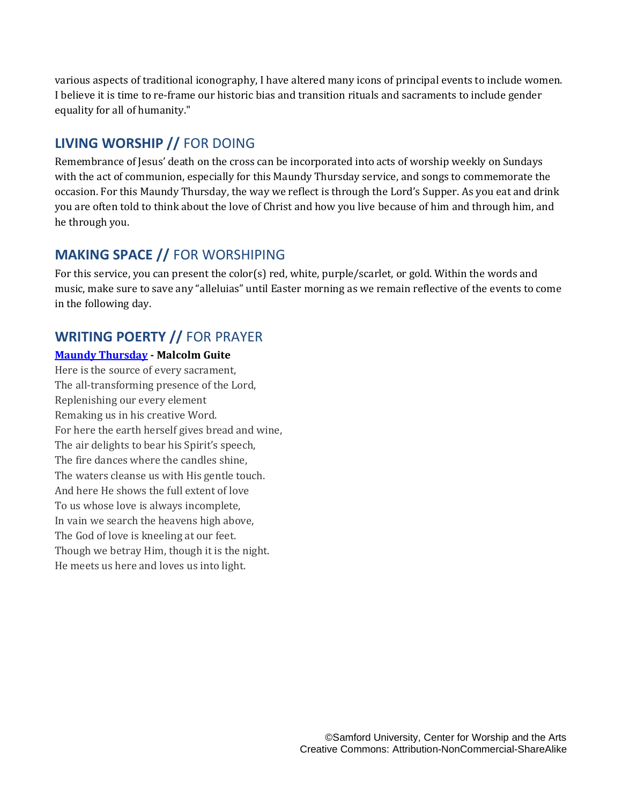various aspects of traditional iconography, I have altered many icons of principal events to include women. I believe it is time to re-frame our historic bias and transition rituals and sacraments to include gender equality for all of humanity."

## **LIVING WORSHIP //** FOR DOING

Remembrance of Jesus' death on the cross can be incorporated into acts of worship weekly on Sundays with the act of communion, especially for this Maundy Thursday service, and songs to commemorate the occasion. For this Maundy Thursday, the way we reflect is through the Lord's Supper. As you eat and drink you are often told to think about the love of Christ and how you live because of him and through him, and he through you.

# **MAKING SPACE //** FOR WORSHIPING

For this service, you can present the color(s) red, white, purple/scarlet, or gold. Within the words and music, make sure to save any "alleluias" until Easter morning as we remain reflective of the events to come in the following day.

## **WRITING POERTY //** FOR PRAYER

#### **[Maundy Thursday](https://malcolmguite.wordpress.com/2013/03/28/holy-week-maundy-thursday/) - Malcolm Guite**

Here is the source of every sacrament, The all-transforming presence of the Lord, Replenishing our every element Remaking us in his creative Word. For here the earth herself gives bread and wine, The air delights to bear his Spirit's speech, The fire dances where the candles shine, The waters cleanse us with His gentle touch. And here He shows the full extent of love To us whose love is always incomplete, In vain we search the heavens high above, The God of love is kneeling at our feet. Though we betray Him, though it is the night. He meets us here and loves us into light.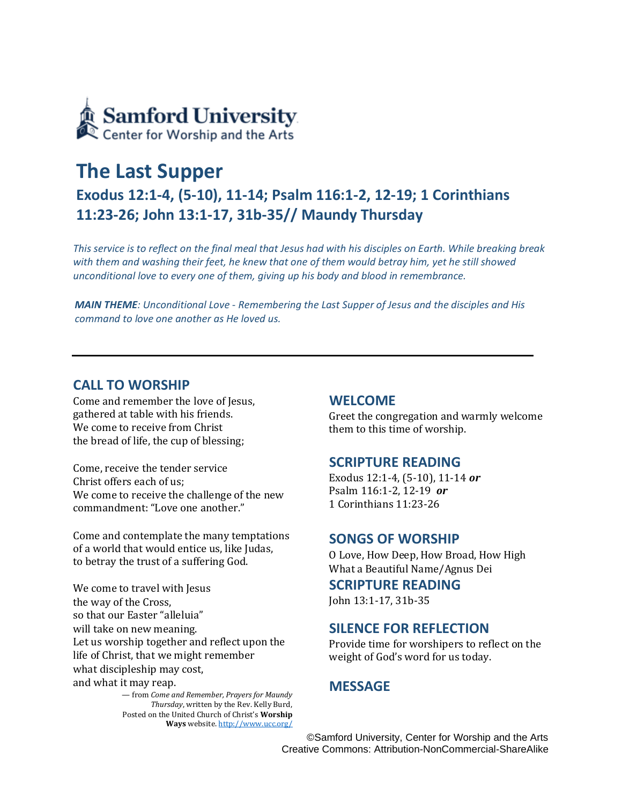

# **The Last Supper**

# **Exodus 12:1-4, (5-10), 11-14; Psalm 116:1-2, 12-19; 1 Corinthians 11:23-26; John 13:1-17, 31b-35// Maundy Thursday**

*This service is to reflect on the final meal that Jesus had with his disciples on Earth. While breaking break*  with them and washing their feet, he knew that one of them would betray him, yet he still showed *unconditional love to every one of them, giving up his body and blood in remembrance.*

*MAIN THEME: Unconditional Love - Remembering the Last Supper of Jesus and the disciples and His command to love one another as He loved us.*

#### **CALL TO WORSHIP**

Come and remember the love of Jesus, gathered at table with his friends. We come to receive from Christ the bread of life, the cup of blessing;

Come, receive the tender service Christ offers each of us; We come to receive the challenge of the new commandment: "Love one another."

Come and contemplate the many temptations of a world that would entice us, like Judas, to betray the trust of a suffering God.

We come to travel with Jesus the way of the Cross, so that our Easter "alleluia" will take on new meaning. Let us worship together and reflect upon the life of Christ, that we might remember what discipleship may cost, and what it may reap.

> — from *Come and Remember, Prayers for Maundy Thursday*, written by the Rev. Kelly Burd, Posted on the United Church of Christ's **Worship Ways** website[. http://www.ucc.org/](http://www.ucc.org/)

#### **WELCOME**

Greet the congregation and warmly welcome them to this time of worship.

#### **SCRIPTURE READING**

Exodus 12:1-4, (5-10), 11-14 *or* Psalm 116:1-2, 12-19 *or* 1 Corinthians 11:23-26

#### **SONGS OF WORSHIP**

O Love, How Deep, How Broad, How High What a Beautiful Name/Agnus Dei

#### **SCRIPTURE READING**

John 13:1-17, 31b-35

#### **SILENCE FOR REFLECTION**

Provide time for worshipers to reflect on the weight of God's word for us today.

### **MESSAGE**

©Samford University, Center for Worship and the Arts Creative Commons: Attribution-NonCommercial-ShareAlike